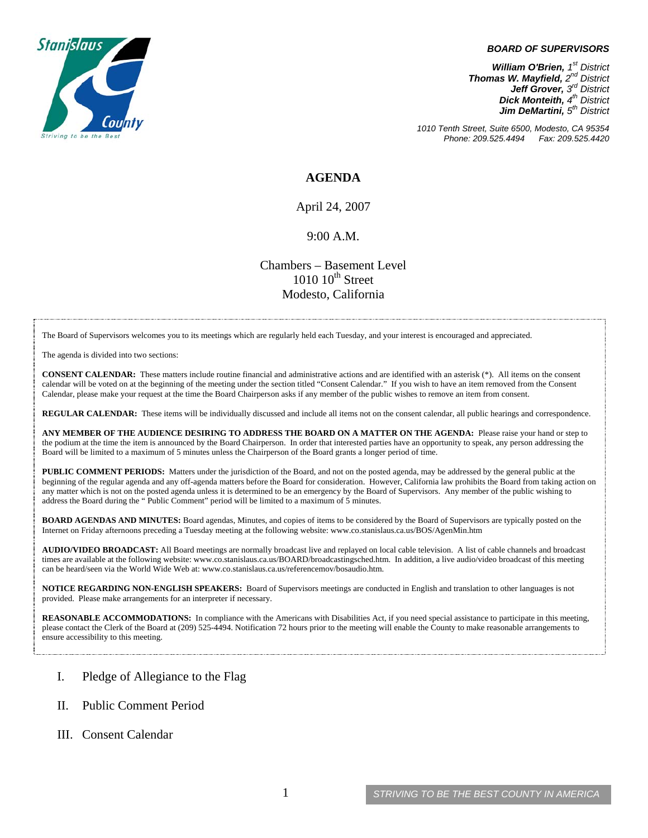

#### *BOARD OF SUPERVISORS*

*William O'Brien, 1<sup>st</sup> District Thomas W. Mayfield, 2nd District Jeff Grover, 3rd District Dick Monteith, 4th District Jim DeMartini, 5th District*

*1010 Tenth Street, Suite 6500, Modesto, CA 95354 Phone: 209.525.4494 Fax: 209.525.4420*

### **AGENDA**

April 24, 2007

#### 9:00 A.M.

Chambers – Basement Level  $1010~10<sup>th</sup>$  Street Modesto, California

The Board of Supervisors welcomes you to its meetings which are regularly held each Tuesday, and your interest is encouraged and appreciated.

The agenda is divided into two sections:

**CONSENT CALENDAR:** These matters include routine financial and administrative actions and are identified with an asterisk (\*). All items on the consent calendar will be voted on at the beginning of the meeting under the section titled "Consent Calendar." If you wish to have an item removed from the Consent Calendar, please make your request at the time the Board Chairperson asks if any member of the public wishes to remove an item from consent.

**REGULAR CALENDAR:** These items will be individually discussed and include all items not on the consent calendar, all public hearings and correspondence.

**ANY MEMBER OF THE AUDIENCE DESIRING TO ADDRESS THE BOARD ON A MATTER ON THE AGENDA:** Please raise your hand or step to the podium at the time the item is announced by the Board Chairperson. In order that interested parties have an opportunity to speak, any person addressing the Board will be limited to a maximum of 5 minutes unless the Chairperson of the Board grants a longer period of time.

**PUBLIC COMMENT PERIODS:** Matters under the jurisdiction of the Board, and not on the posted agenda, may be addressed by the general public at the beginning of the regular agenda and any off-agenda matters before the Board for consideration. However, California law prohibits the Board from taking action on any matter which is not on the posted agenda unless it is determined to be an emergency by the Board of Supervisors. Any member of the public wishing to address the Board during the " Public Comment" period will be limited to a maximum of 5 minutes.

**BOARD AGENDAS AND MINUTES:** Board agendas, Minutes, and copies of items to be considered by the Board of Supervisors are typically posted on the Internet on Friday afternoons preceding a Tuesday meeting at the following website: [www.co.stanislaus.ca.us/BOS/AgenMin.htm](http://www.co.stanislaus.ca.us/BOS/AgenMin.htm) 

**AUDIO/VIDEO BROADCAST:** All Board meetings are normally broadcast live and replayed on local cable television. A list of cable channels and broadcast times are available at the following website: [www.co.stanislaus.ca.us/BOARD/broadcastingsched.htm](http://www.co.stanislaus.ca.us/BOARD/broadcastingsched.htm). In addition, a live audio/video broadcast of this meeting can be heard/seen via the World Wide Web at: [www.co.stanislaus.ca.us/referencemov/bosaudio.htm.](http://www.co.stanislaus.ca.us/referencemov/bosaudio.htm)

**NOTICE REGARDING NON-ENGLISH SPEAKERS:** Board of Supervisors meetings are conducted in English and translation to other languages is not provided. Please make arrangements for an interpreter if necessary.

**REASONABLE ACCOMMODATIONS:** In compliance with the Americans with Disabilities Act, if you need special assistance to participate in this meeting, please contact the Clerk of the Board at (209) 525-4494. Notification 72 hours prior to the meeting will enable the County to make reasonable arrangements to ensure accessibility to this meeting.

### I. Pledge of Allegiance to the Flag

- II. Public Comment Period
- III. Consent Calendar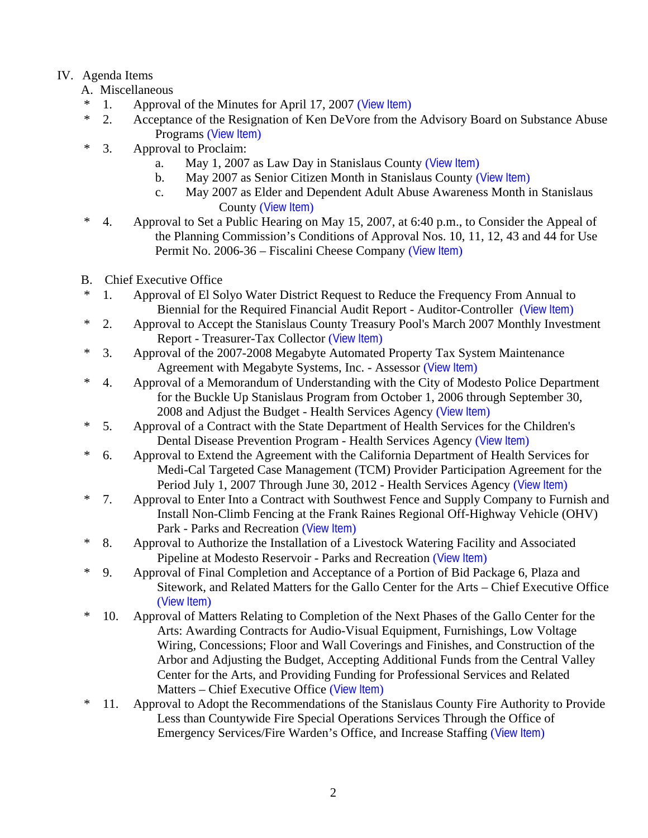# IV. Agenda Items

- A. Miscellaneous
- \* 1. Approval of the Minutes for April 17, 2007 ([View Item](http://www.co.stanislaus.ca.us/bos/minutes/2007/min04-17-07.pdf))
- \* 2. Acceptance of the Resignation of Ken DeVore from the Advisory Board on Substance Abuse Programs ([View Item](http://www.co.stanislaus.ca.us/bos/agenda/2007/20070424/A02.pdf))
- \* 3. Approval to Proclaim:
	- a. May 1, 2007 as Law Day in Stanislaus County ([View Item](http://www.co.stanislaus.ca.us/bos/agenda/2007/20070424/A03a.pdf))
	- b. May 2007 as Senior Citizen Month in Stanislaus County ([View Item](http://www.co.stanislaus.ca.us/bos/agenda/2007/20070424/A03b.pdf))
	- c. May 2007 as Elder and Dependent Adult Abuse Awareness Month in Stanislaus County ([View Item](http://www.co.stanislaus.ca.us/bos/agenda/2007/20070424/A03c.pdf))
- \* 4. Approval to Set a Public Hearing on May 15, 2007, at 6:40 p.m., to Consider the Appeal of the Planning Commission's Conditions of Approval Nos. 10, 11, 12, 43 and 44 for Use Permit No. 2006-36 – Fiscalini Cheese Company ([View Item](http://www.co.stanislaus.ca.us/bos/agenda/2007/20070424/A04.pdf))
- B. Chief Executive Office
- \* 1. Approval of El Solyo Water District Request to Reduce the Frequency From Annual to Biennial for the Required Financial Audit Report - Auditor-Controller ([View Item](http://www.co.stanislaus.ca.us/bos/agenda/2007/20070424/B01.pdf))
- \* 2. Approval to Accept the Stanislaus County Treasury Pool's March 2007 Monthly Investment Report - Treasurer-Tax Collector ([View Item](http://www.co.stanislaus.ca.us/bos/agenda/2007/20070424/B02.pdf))
- \* 3. Approval of the 2007-2008 Megabyte Automated Property Tax System Maintenance Agreement with Megabyte Systems, Inc. - Assessor ([View Item](http://www.co.stanislaus.ca.us/bos/agenda/2007/20070424/B03.pdf))
- \* 4. Approval of a Memorandum of Understanding with the City of Modesto Police Department for the Buckle Up Stanislaus Program from October 1, 2006 through September 30, 2008 and Adjust the Budget - Health Services Agency ([View Item](http://www.co.stanislaus.ca.us/bos/agenda/2007/20070424/B04.pdf))
- \* 5. Approval of a Contract with the State Department of Health Services for the Children's Dental Disease Prevention Program - Health Services Agency ([View Item](http://www.co.stanislaus.ca.us/bos/agenda/2007/20070424/B05.pdf))
- \* 6. Approval to Extend the Agreement with the California Department of Health Services for Medi-Cal Targeted Case Management (TCM) Provider Participation Agreement for the Period July 1, 2007 Through June 30, 2012 - Health Services Agency ([View Item](http://www.co.stanislaus.ca.us/bos/agenda/2007/20070424/B06.pdf))
- \* 7. Approval to Enter Into a Contract with Southwest Fence and Supply Company to Furnish and Install Non-Climb Fencing at the Frank Raines Regional Off-Highway Vehicle (OHV) Park - Parks and Recreation ([View Item](http://www.co.stanislaus.ca.us/bos/agenda/2007/20070424/B07.pdf))
- \* 8. Approval to Authorize the Installation of a Livestock Watering Facility and Associated Pipeline at Modesto Reservoir - Parks and Recreation ([View Item](http://www.co.stanislaus.ca.us/bos/agenda/2007/20070424/B08.pdf))
- \* 9. Approval of Final Completion and Acceptance of a Portion of Bid Package 6, Plaza and Sitework, and Related Matters for the Gallo Center for the Arts – Chief Executive Office ([View Item](http://www.co.stanislaus.ca.us/bos/agenda/2007/20070424/B09.pdf))
- \* 10. Approval of Matters Relating to Completion of the Next Phases of the Gallo Center for the Arts: Awarding Contracts for Audio-Visual Equipment, Furnishings, Low Voltage Wiring, Concessions; Floor and Wall Coverings and Finishes, and Construction of the Arbor and Adjusting the Budget, Accepting Additional Funds from the Central Valley Center for the Arts, and Providing Funding for Professional Services and Related Matters – Chief Executive Office ([View Item](http://www.co.stanislaus.ca.us/bos/agenda/2007/20070424/B10.pdf))
- \* 11. Approval to Adopt the Recommendations of the Stanislaus County Fire Authority to Provide Less than Countywide Fire Special Operations Services Through the Office of Emergency Services/Fire Warden's Office, and Increase Staffing ([View Item](http://www.co.stanislaus.ca.us/bos/agenda/2007/20070424/B11.pdf))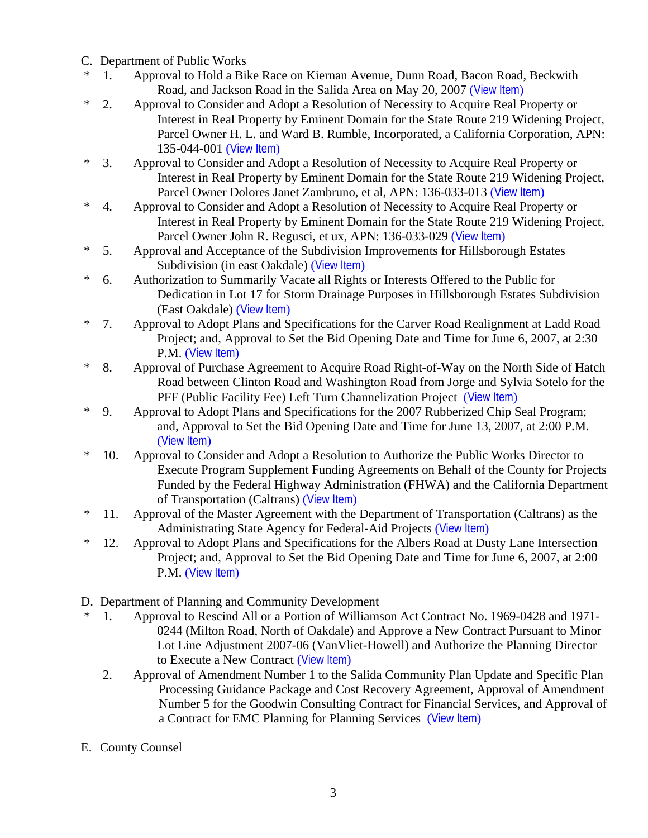- C. Department of Public Works
- \* 1. Approval to Hold a Bike Race on Kiernan Avenue, Dunn Road, Bacon Road, Beckwith Road, and Jackson Road in the Salida Area on May 20, 2007 ([View Item](http://www.co.stanislaus.ca.us/bos/agenda/2007/20070424/C01.pdf))
- \* 2. Approval to Consider and Adopt a Resolution of Necessity to Acquire Real Property or Interest in Real Property by Eminent Domain for the State Route 219 Widening Project, Parcel Owner H. L. and Ward B. Rumble, Incorporated, a California Corporation, APN: 135-044-001 ([View Item](http://www.co.stanislaus.ca.us/bos/agenda/2007/20070424/C02.pdf))
- \* 3. Approval to Consider and Adopt a Resolution of Necessity to Acquire Real Property or Interest in Real Property by Eminent Domain for the State Route 219 Widening Project, Parcel Owner Dolores Janet Zambruno, et al, APN: 136-033-013 ([View Item](http://www.co.stanislaus.ca.us/bos/agenda/2007/20070424/C03.pdf))
- \* 4. Approval to Consider and Adopt a Resolution of Necessity to Acquire Real Property or Interest in Real Property by Eminent Domain for the State Route 219 Widening Project, Parcel Owner John R. Regusci, et ux, APN: 136-033-029 ([View Item](http://www.co.stanislaus.ca.us/bos/agenda/2007/20070424/C04.pdf))
- \* 5. Approval and Acceptance of the Subdivision Improvements for Hillsborough Estates Subdivision (in east Oakdale) ([View Item](http://www.co.stanislaus.ca.us/bos/agenda/2007/20070424/C05.pdf))
- \* 6. Authorization to Summarily Vacate all Rights or Interests Offered to the Public for Dedication in Lot 17 for Storm Drainage Purposes in Hillsborough Estates Subdivision (East Oakdale) ([View Item](http://www.co.stanislaus.ca.us/bos/agenda/2007/20070424/C06.pdf))
- \* 7. Approval to Adopt Plans and Specifications for the Carver Road Realignment at Ladd Road Project; and, Approval to Set the Bid Opening Date and Time for June 6, 2007, at 2:30 P.M. ([View Item](http://www.co.stanislaus.ca.us/bos/agenda/2007/20070424/C07.pdf))
- \* 8. Approval of Purchase Agreement to Acquire Road Right-of-Way on the North Side of Hatch Road between Clinton Road and Washington Road from Jorge and Sylvia Sotelo for the PFF (Public Facility Fee) Left Turn Channelization Project ([View Item](http://www.co.stanislaus.ca.us/bos/agenda/2007/20070424/C08.pdf))
- \* 9. Approval to Adopt Plans and Specifications for the 2007 Rubberized Chip Seal Program; and, Approval to Set the Bid Opening Date and Time for June 13, 2007, at 2:00 P.M. ([View Item](http://www.co.stanislaus.ca.us/bos/agenda/2007/20070424/C09.pdf))
- \* 10. Approval to Consider and Adopt a Resolution to Authorize the Public Works Director to Execute Program Supplement Funding Agreements on Behalf of the County for Projects Funded by the Federal Highway Administration (FHWA) and the California Department of Transportation (Caltrans) ([View Item](http://www.co.stanislaus.ca.us/bos/agenda/2007/20070424/C10.pdf))
- \* 11. Approval of the Master Agreement with the Department of Transportation (Caltrans) as the Administrating State Agency for Federal-Aid Projects ([View Item](http://www.co.stanislaus.ca.us/bos/agenda/2007/20070424/C11.pdf))
- \* 12. Approval to Adopt Plans and Specifications for the Albers Road at Dusty Lane Intersection Project; and, Approval to Set the Bid Opening Date and Time for June 6, 2007, at 2:00 P.M. ([View Item](http://www.co.stanislaus.ca.us/bos/agenda/2007/20070424/C12.pdf))
- D. Department of Planning and Community Development
- \* 1. Approval to Rescind All or a Portion of Williamson Act Contract No. 1969-0428 and 1971- 0244 (Milton Road, North of Oakdale) and Approve a New Contract Pursuant to Minor Lot Line Adjustment 2007-06 (VanVliet-Howell) and Authorize the Planning Director to Execute a New Contract ([View Item](http://www.co.stanislaus.ca.us/bos/agenda/2007/20070424/D01.pdf))
	- 2. Approval of Amendment Number 1 to the Salida Community Plan Update and Specific Plan Processing Guidance Package and Cost Recovery Agreement, Approval of Amendment Number 5 for the Goodwin Consulting Contract for Financial Services, and Approval of a Contract for EMC Planning for Planning Services ([View Item](http://www.co.stanislaus.ca.us/bos/agenda/2007/20070424/D02.pdf))
- E. County Counsel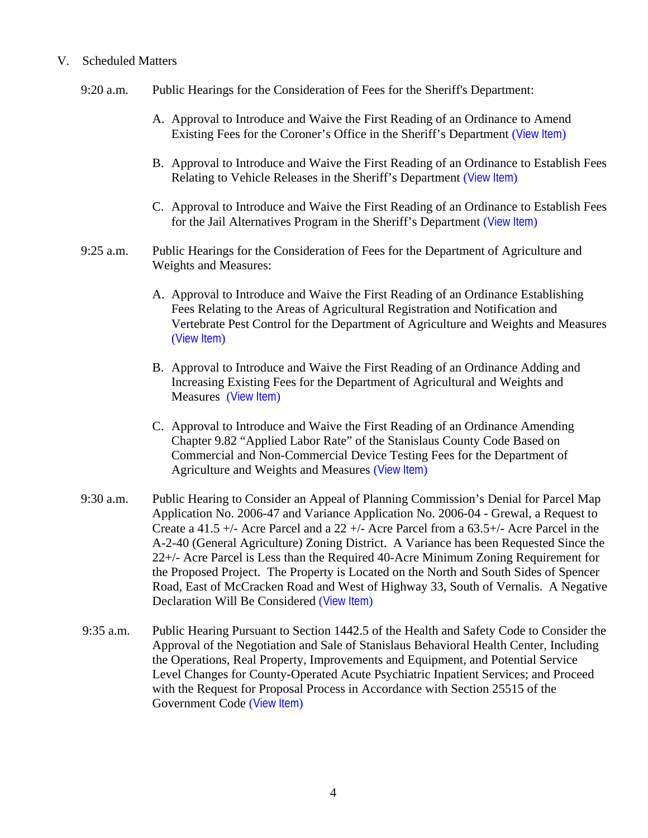## V. Scheduled Matters

- 9:20 a.m. Public Hearings for the Consideration of Fees for the Sheriff's Department:
	- A. Approval to Introduce and Waive the First Reading of an Ordinance to Amend Existing Fees for the Coroner's Office in the Sheriff's Department ([View Item](http://www.co.stanislaus.ca.us/bos/agenda/2007/20070424/PH920a.pdf))
	- B. Approval to Introduce and Waive the First Reading of an Ordinance to Establish Fees Relating to Vehicle Releases in the Sheriff's Department ([View Item](http://www.co.stanislaus.ca.us/bos/agenda/2007/20070424/PH920b.pdf))
	- C. Approval to Introduce and Waive the First Reading of an Ordinance to Establish Fees for the Jail Alternatives Program in the Sheriff's Department ([View Item](http://www.co.stanislaus.ca.us/bos/agenda/2007/20070424/PH920c.pdf))
- 9:25 a.m. Public Hearings for the Consideration of Fees for the Department of Agriculture and Weights and Measures:
	- A. Approval to Introduce and Waive the First Reading of an Ordinance Establishing Fees Relating to the Areas of Agricultural Registration and Notification and Vertebrate Pest Control for the Department of Agriculture and Weights and Measures ([View Item](http://www.co.stanislaus.ca.us/bos/agenda/2007/20070424/PH925a.pdf))
	- B. Approval to Introduce and Waive the First Reading of an Ordinance Adding and Increasing Existing Fees for the Department of Agricultural and Weights and Measures ([View Item](http://www.co.stanislaus.ca.us/bos/agenda/2007/20070424/PH925b.pdf))
	- C. Approval to Introduce and Waive the First Reading of an Ordinance Amending Chapter 9.82 "Applied Labor Rate" of the Stanislaus County Code Based on Commercial and Non-Commercial Device Testing Fees for the Department of Agriculture and Weights and Measures ([View Item](http://www.co.stanislaus.ca.us/bos/agenda/2007/20070424/PH925c.pdf))
- 9:30 a.m. Public Hearing to Consider an Appeal of Planning Commission's Denial for Parcel Map Application No. 2006-47 and Variance Application No. 2006-04 - Grewal, a Request to Create a 41.5 +/- Acre Parcel and a 22 +/- Acre Parcel from a 63.5+/- Acre Parcel in the A-2-40 (General Agriculture) Zoning District. A Variance has been Requested Since the 22+/- Acre Parcel is Less than the Required 40-Acre Minimum Zoning Requirement for the Proposed Project. The Property is Located on the North and South Sides of Spencer Road, East of McCracken Road and West of Highway 33, South of Vernalis. A Negative Declaration Will Be Considered ([View Item](http://www.co.stanislaus.ca.us/bos/agenda/2007/20070424/PH930.pdf))
- 9:35 a.m. Public Hearing Pursuant to Section 1442.5 of the Health and Safety Code to Consider the Approval of the Negotiation and Sale of Stanislaus Behavioral Health Center, Including the Operations, Real Property, Improvements and Equipment, and Potential Service Level Changes for County-Operated Acute Psychiatric Inpatient Services; and Proceed with the Request for Proposal Process in Accordance with Section 25515 of the Government Code ([View Item](http://www.co.stanislaus.ca.us/bos/agenda/2007/20070424/PH935.pdf))